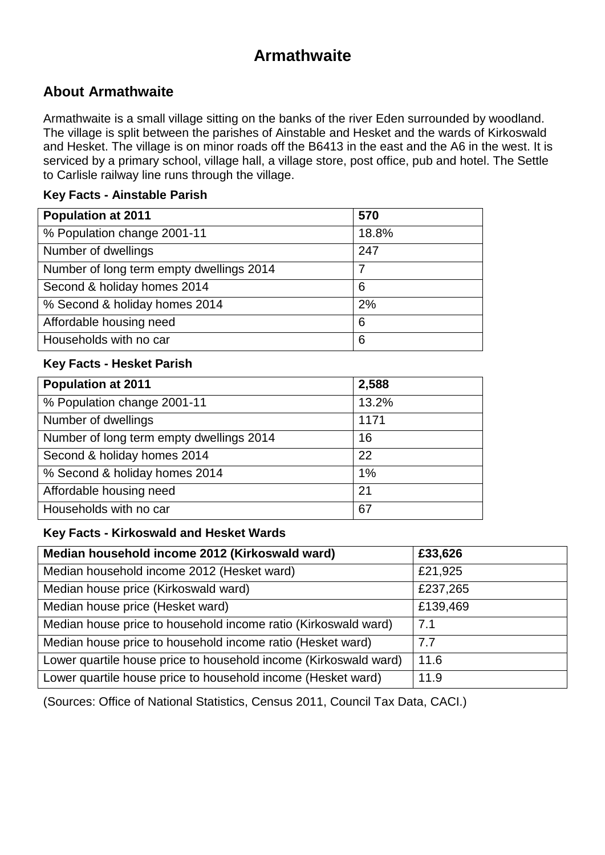# **Armathwaite**

### **About Armathwaite**

Armathwaite is a small village sitting on the banks of the river Eden surrounded by woodland. The village is split between the parishes of Ainstable and Hesket and the wards of Kirkoswald and Hesket. The village is on minor roads off the B6413 in the east and the A6 in the west. It is serviced by a primary school, village hall, a village store, post office, pub and hotel. The Settle to Carlisle railway line runs through the village.

#### **Key Facts - Ainstable Parish**

| <b>Population at 2011</b>                | 570   |
|------------------------------------------|-------|
| % Population change 2001-11              | 18.8% |
| Number of dwellings                      | 247   |
| Number of long term empty dwellings 2014 | 7     |
| Second & holiday homes 2014              | 6     |
| % Second & holiday homes 2014            | 2%    |
| Affordable housing need                  | 6     |
| Households with no car                   | 6     |

#### **Key Facts - Hesket Parish**

| <b>Population at 2011</b>                | 2,588 |
|------------------------------------------|-------|
| % Population change 2001-11              | 13.2% |
| Number of dwellings                      | 1171  |
| Number of long term empty dwellings 2014 | 16    |
| Second & holiday homes 2014              | 22    |
| % Second & holiday homes 2014            | 1%    |
| Affordable housing need                  | 21    |
| Households with no car                   | 67    |

#### **Key Facts - Kirkoswald and Hesket Wards**

| Median household income 2012 (Kirkoswald ward)                   | £33,626  |
|------------------------------------------------------------------|----------|
| Median household income 2012 (Hesket ward)                       | £21,925  |
| Median house price (Kirkoswald ward)                             | £237,265 |
| Median house price (Hesket ward)                                 | £139,469 |
| Median house price to household income ratio (Kirkoswald ward)   | 7.1      |
| Median house price to household income ratio (Hesket ward)       | 7.7      |
| Lower quartile house price to household income (Kirkoswald ward) | 11.6     |
| Lower quartile house price to household income (Hesket ward)     | 11.9     |

(Sources: Office of National Statistics, Census 2011, Council Tax Data, CACI.)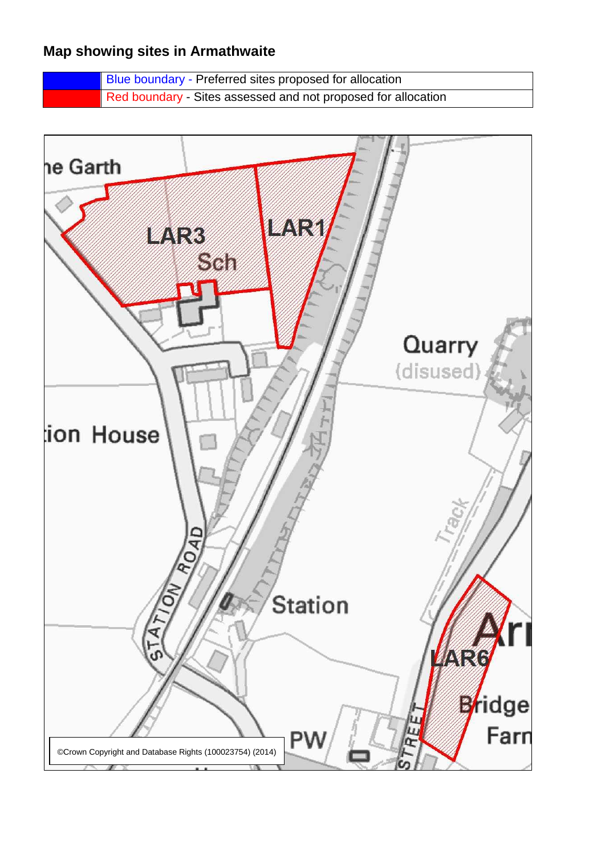### **Map showing sites in Armathwaite**

Blue boundary - Preferred sites proposed for allocation Red boundary - Sites assessed and not proposed for allocation

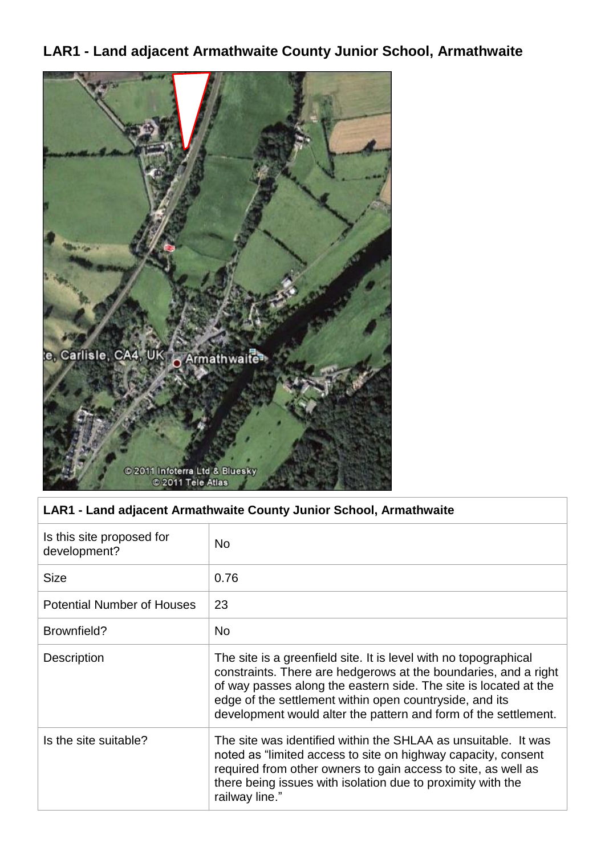# **LAR1 - Land adjacent Armathwaite County Junior School, Armathwaite**



#### **LAR1 - Land adjacent Armathwaite County Junior School, Armathwaite**

| Is this site proposed for<br>development? | <b>No</b>                                                                                                                                                                                                                                                                                                                             |
|-------------------------------------------|---------------------------------------------------------------------------------------------------------------------------------------------------------------------------------------------------------------------------------------------------------------------------------------------------------------------------------------|
| Size                                      | 0.76                                                                                                                                                                                                                                                                                                                                  |
| <b>Potential Number of Houses</b>         | 23                                                                                                                                                                                                                                                                                                                                    |
| Brownfield?                               | No.                                                                                                                                                                                                                                                                                                                                   |
| <b>Description</b>                        | The site is a greenfield site. It is level with no topographical<br>constraints. There are hedgerows at the boundaries, and a right<br>of way passes along the eastern side. The site is located at the<br>edge of the settlement within open countryside, and its<br>development would alter the pattern and form of the settlement. |
| Is the site suitable?                     | The site was identified within the SHLAA as unsuitable. It was<br>noted as "limited access to site on highway capacity, consent<br>required from other owners to gain access to site, as well as<br>there being issues with isolation due to proximity with the<br>railway line."                                                     |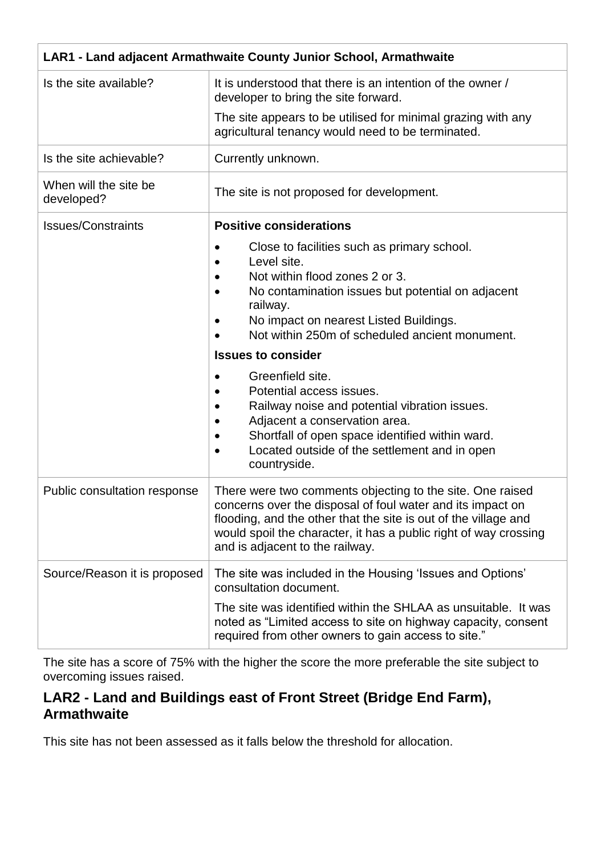| LAR1 - Land adjacent Armathwaite County Junior School, Armathwaite |                                                                                                                                                                                                                                                                                                                                                                                                                                                                                                                                              |
|--------------------------------------------------------------------|----------------------------------------------------------------------------------------------------------------------------------------------------------------------------------------------------------------------------------------------------------------------------------------------------------------------------------------------------------------------------------------------------------------------------------------------------------------------------------------------------------------------------------------------|
| Is the site available?                                             | It is understood that there is an intention of the owner /<br>developer to bring the site forward.                                                                                                                                                                                                                                                                                                                                                                                                                                           |
|                                                                    | The site appears to be utilised for minimal grazing with any<br>agricultural tenancy would need to be terminated.                                                                                                                                                                                                                                                                                                                                                                                                                            |
| Is the site achievable?                                            | Currently unknown.                                                                                                                                                                                                                                                                                                                                                                                                                                                                                                                           |
| When will the site be<br>developed?                                | The site is not proposed for development.                                                                                                                                                                                                                                                                                                                                                                                                                                                                                                    |
| <b>Issues/Constraints</b>                                          | <b>Positive considerations</b>                                                                                                                                                                                                                                                                                                                                                                                                                                                                                                               |
|                                                                    | Close to facilities such as primary school.<br>Level site.<br>Not within flood zones 2 or 3.<br>No contamination issues but potential on adjacent<br>railway.<br>No impact on nearest Listed Buildings.<br>Not within 250m of scheduled ancient monument.<br><b>Issues to consider</b><br>Greenfield site.<br>Potential access issues.<br>Railway noise and potential vibration issues.<br>Adjacent a conservation area.<br>Shortfall of open space identified within ward.<br>Located outside of the settlement and in open<br>countryside. |
| Public consultation response                                       | There were two comments objecting to the site. One raised<br>concerns over the disposal of foul water and its impact on<br>flooding, and the other that the site is out of the village and<br>would spoil the character, it has a public right of way crossing<br>and is adjacent to the railway.                                                                                                                                                                                                                                            |
| Source/Reason it is proposed                                       | The site was included in the Housing 'Issues and Options'<br>consultation document.<br>The site was identified within the SHLAA as unsuitable. It was<br>noted as "Limited access to site on highway capacity, consent<br>required from other owners to gain access to site."                                                                                                                                                                                                                                                                |

The site has a score of 75% with the higher the score the more preferable the site subject to overcoming issues raised.

### **LAR2 - Land and Buildings east of Front Street (Bridge End Farm), Armathwaite**

This site has not been assessed as it falls below the threshold for allocation.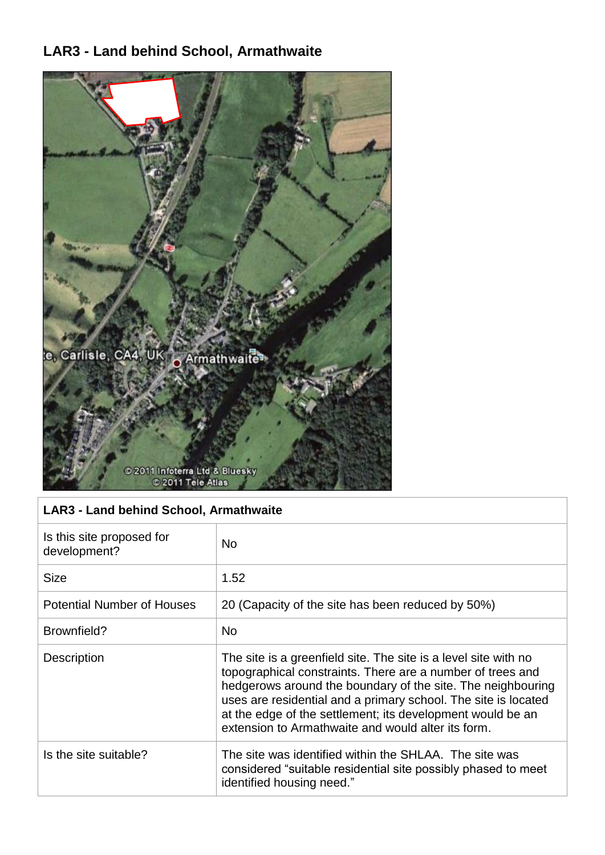## **LAR3 - Land behind School, Armathwaite**



#### **LAR3 - Land behind School, Armathwaite**

| Is this site proposed for<br>development? | <b>No</b>                                                                                                                                                                                                                                                                                                                                                                          |
|-------------------------------------------|------------------------------------------------------------------------------------------------------------------------------------------------------------------------------------------------------------------------------------------------------------------------------------------------------------------------------------------------------------------------------------|
| <b>Size</b>                               | 1.52                                                                                                                                                                                                                                                                                                                                                                               |
| <b>Potential Number of Houses</b>         | 20 (Capacity of the site has been reduced by 50%)                                                                                                                                                                                                                                                                                                                                  |
| Brownfield?                               | <b>No</b>                                                                                                                                                                                                                                                                                                                                                                          |
| Description                               | The site is a greenfield site. The site is a level site with no<br>topographical constraints. There are a number of trees and<br>hedgerows around the boundary of the site. The neighbouring<br>uses are residential and a primary school. The site is located<br>at the edge of the settlement; its development would be an<br>extension to Armathwaite and would alter its form. |
| Is the site suitable?                     | The site was identified within the SHLAA. The site was<br>considered "suitable residential site possibly phased to meet<br>identified housing need."                                                                                                                                                                                                                               |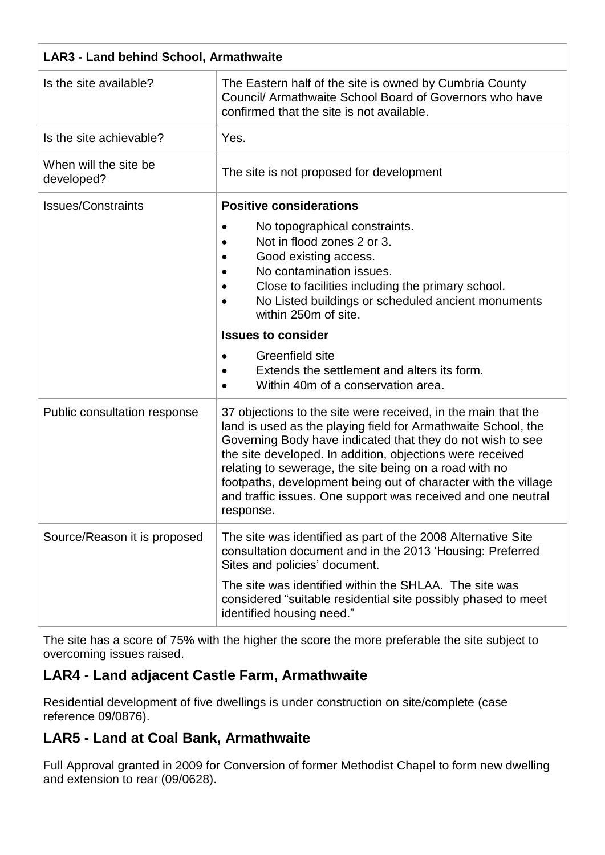| <b>LAR3 - Land behind School, Armathwaite</b> |                                                                                                                                                                                                                                                                                                                                                                                                                                                                    |
|-----------------------------------------------|--------------------------------------------------------------------------------------------------------------------------------------------------------------------------------------------------------------------------------------------------------------------------------------------------------------------------------------------------------------------------------------------------------------------------------------------------------------------|
| Is the site available?                        | The Eastern half of the site is owned by Cumbria County<br>Council/ Armathwaite School Board of Governors who have<br>confirmed that the site is not available.                                                                                                                                                                                                                                                                                                    |
| Is the site achievable?                       | Yes.                                                                                                                                                                                                                                                                                                                                                                                                                                                               |
| When will the site be<br>developed?           | The site is not proposed for development                                                                                                                                                                                                                                                                                                                                                                                                                           |
| <b>Issues/Constraints</b>                     | <b>Positive considerations</b>                                                                                                                                                                                                                                                                                                                                                                                                                                     |
|                                               | No topographical constraints.<br>Not in flood zones 2 or 3.<br>Good existing access.<br>No contamination issues.<br>Close to facilities including the primary school.<br>No Listed buildings or scheduled ancient monuments<br>within 250m of site.                                                                                                                                                                                                                |
|                                               | <b>Issues to consider</b>                                                                                                                                                                                                                                                                                                                                                                                                                                          |
|                                               | Greenfield site<br>$\bullet$<br>Extends the settlement and alters its form.<br>Within 40m of a conservation area.                                                                                                                                                                                                                                                                                                                                                  |
| Public consultation response                  | 37 objections to the site were received, in the main that the<br>land is used as the playing field for Armathwaite School, the<br>Governing Body have indicated that they do not wish to see<br>the site developed. In addition, objections were received<br>relating to sewerage, the site being on a road with no<br>footpaths, development being out of character with the village<br>and traffic issues. One support was received and one neutral<br>response. |
| Source/Reason it is proposed                  | The site was identified as part of the 2008 Alternative Site<br>consultation document and in the 2013 'Housing: Preferred<br>Sites and policies' document.                                                                                                                                                                                                                                                                                                         |
|                                               | The site was identified within the SHLAA. The site was<br>considered "suitable residential site possibly phased to meet<br>identified housing need."                                                                                                                                                                                                                                                                                                               |

The site has a score of 75% with the higher the score the more preferable the site subject to overcoming issues raised.

## **LAR4 - Land adjacent Castle Farm, Armathwaite**

Residential development of five dwellings is under construction on site/complete (case reference 09/0876).

### **LAR5 - Land at Coal Bank, Armathwaite**

Full Approval granted in 2009 for Conversion of former Methodist Chapel to form new dwelling and extension to rear (09/0628).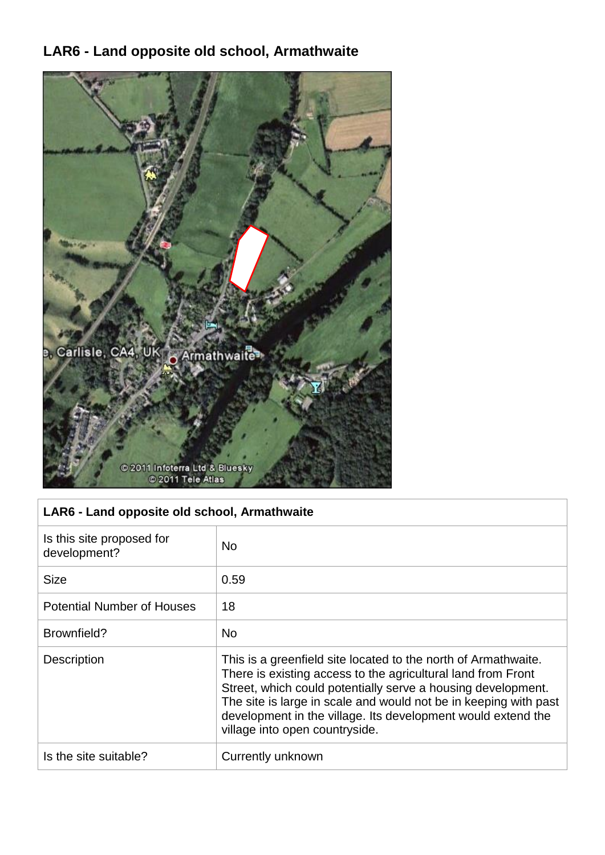## **LAR6 - Land opposite old school, Armathwaite**



#### **LAR6 - Land opposite old school, Armathwaite**

| Is this site proposed for<br>development? | <b>No</b>                                                                                                                                                                                                                                                                                                                                                            |
|-------------------------------------------|----------------------------------------------------------------------------------------------------------------------------------------------------------------------------------------------------------------------------------------------------------------------------------------------------------------------------------------------------------------------|
| <b>Size</b>                               | 0.59                                                                                                                                                                                                                                                                                                                                                                 |
| <b>Potential Number of Houses</b>         | 18                                                                                                                                                                                                                                                                                                                                                                   |
| Brownfield?                               | <b>No</b>                                                                                                                                                                                                                                                                                                                                                            |
| <b>Description</b>                        | This is a greenfield site located to the north of Armathwaite.<br>There is existing access to the agricultural land from Front<br>Street, which could potentially serve a housing development.<br>The site is large in scale and would not be in keeping with past<br>development in the village. Its development would extend the<br>village into open countryside. |
| Is the site suitable?                     | Currently unknown                                                                                                                                                                                                                                                                                                                                                    |